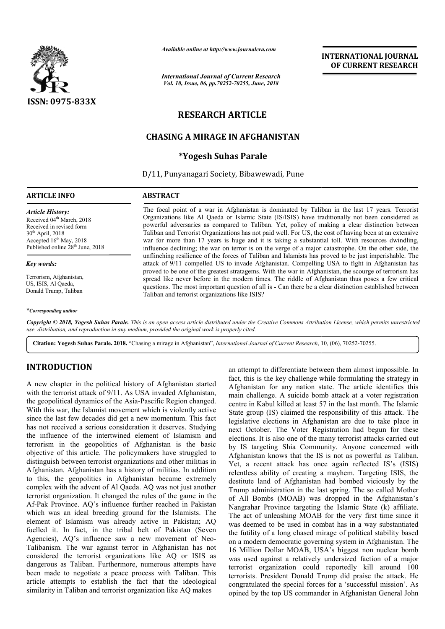

*Available online at http://www.journalcra.com*

*International Journal of Current Research Vol. 10, Issue, 06, pp.70252-70255, June, 2018*

## **INTERNATIONAL JOURNAL OF CURRENT RESEARCH**

# **RESEARCH ARTICLE**

## **CHASING A MIRAGE IN AFGHANISTAN**

### **\*Yogesh Suhas Parale**

D/11, Punyanagari Society, Bibawewadi, Pune

#### **ARTICLE INFO ABSTRACT**

*Article History:* Received 04<sup>th</sup> March, 2018 Received in revised form 30th April, 2018 Accepted  $16<sup>th</sup>$  May, 2018 Published online 28<sup>th</sup> June, 2018

#### *Key words:*

Terrorism, Afghanistan, US, ISIS, Al Qaeda, Donald Trump, Taliban

#### *\*Corresponding author*

The focal point of a war in Afghanistan is dominated by Taliban in the last 17 years. Terrorist Organizations like Al Qaeda or Islamic State (IS/ISIS) have traditionally not been considered as The focal point of a war in Afghanistan is dominated by Taliban in the last 17 years. Terrorist Organizations like Al Qaeda or Islamic State (IS/ISIS) have traditionally not been considered as powerful adversaries as compa Taliban and Terrorist Organizations has not paid well. For US, the cost of having been at an extensive war for more than 17 years is huge and it is taking a substantial toll. With resources dwindling, influence declining; the war on terror is on the verge of a major catastrophe. On the other side, the unflinching resilience of the forces of Taliban and Islamists has proved to be just imperishable. The attack of 9/11 compelled US to invade Afghanistan. Compelling USA to fight in Afghanistan has proved to be one of the greatest stratagems. With the war in Afghanistan, the scourge of terrorism has spread like never before in the modern times. The riddle of Afghanistan thus poses a few critical questions. The most important question of all is - Can there be a clear distinction established between Taliban and terrorist organizations like ISIS? Taliban and Terrorist Organizations has not paid well. For US, the cost of having been at an extensive war for more than 17 years is huge and it is taking a substantial toll. With resources dwindling, influence declining; proved to be one of the greatest stratagems. With the war in Afghanistan, the scourge of terror spread like never before in the modern times. The riddle of Afghanistan thus poses a few questions. The most important questio

Copyright © 2018, Yogesh Suhas Parale. This is an open access article distributed under the Creative Commons Attribution License, which permits unrestrictea *use, distribution, and reproduction in any medium, provided the original work is properly cited.*

Citation: Yogesh Suhas Parale. 2018. "Chasing a mirage in Afghanistan", *International Journal of Current Research*, 10, (06), 70252-70255.

### **INTRODUCTION**

A new chapter in the political history of Afghanistan started with the terrorist attack of 9/11. As USA invaded Afghanistan, the geopolitical dynamics of the Asia-Pascific Pascific Region changed. With this war, the Islamist movement which is violently active since the last few decades did get a new momentum. This fact has not received a serious consideration it deserves. Studying the influence of the intertwined element of Islamism and terrorism in the geopolitics of Afghanistan is the basic objective of this article. The policymakers have struggled to distinguish between terrorist organizations and other militias in Afghanistan. Afghanistan has a history of militias. In addition to this, the geopolitics in Afghanistan became extremely complex with the advent of Al Qaeda. AQ was not just another terrorist organization. It changed the rules of the game in the Af-Pak Province. AQ's influence further reached in Pakistan which was an ideal breeding ground for the Islamists. The element of Islamism was already active in Pakistan; AQ fuelled it. In fact, in the tribal belt of Pakistan (Seven Agencies), AQ's influence saw a new movement of Neo Talibanism. The war against terror in Afghanistan has not considered the terrorist organizations like AQ or ISIS as dangerous as Taliban. Furthermore, numerous attempts have been made to negotiate a peace process with Taliban. This article attempts to establish the fact that the ideological similarity in Taliban and terrorist organization like AQ makes Pak Province. AQ's influence further reached in Pakistan<br>ich was an ideal breeding ground for the Islamists. The<br>ment of Islamism was already active in Pakistan; AQ<br>lled it. In fact, in the tribal belt of Pakistan (Seven<br>e

an attempt to differentiate between them almost impossible. In fact, this is the key challenge while formulating the strategy in Afghanistan for any nation state. The article identifies this main challenge. A suicide bomb attack at a voter registration centre in Kabul killed at least 57 in the last month. The Islamic State group (IS) claimed the responsibility of this attack. The legislative elections in Afghanistan are due to take place in next October. The Voter Registration had begun for these elections. It is also one of the many terrorist attacks carried out by IS targeting Shia Community. Anyone concerned with Afghanistan knows that the IS is not as powerful as Taliban. Yet, a recent attack has once again reflected IS's (ISIS) relentless ability of creating a mayhem. Targeting ISIS, the destitute land of Afghanistan had bombed viciously by the Trump administration in the last spring. The so called Mother of All Bombs (MOAB) was dropped in the Afghanis Nangrahar Province targeting the Islamic State (k) affiliate. The act of unleashing MOAB for the very first time since it was deemed to be used in combat has in a way substantiated the futility of a long chased mirage of political stability based on a modern democratic governing system in Afghanistan. The 16 Million Dollar MOAB, USA's biggest non nuclear bomb was used against a relatively undersized faction of a major terrorist organization could reportedly kill around 100 terrorists. President Donald Trump did praise the attack. He congratulated the special forces for a 'successful mission'. As opined by the top US commander in Afghanistan General John article attack Kabul Islamic attack Kabul Islamic State Strategy In Afghanistan for any nation state. The article identifies this main challenge. A suicide bomb attack at a voter registration centre in Kabul killed at leas e land of Afghanistan had bombed viciously by the administration in the last spring. The so called Mother Bombs (MOAB) was dropped in the Afghanistan's **EXERVACTIONAL JOURNAL CONDUMERT (THE STATE STATE AND THE STATE AND THE STATE AND THE STATE AND THE STATE AND THE STATE AND THE STATE AND THE STATE AND THE STATE OF THE STATE OF THE STATE OF THE STATE OF THE STATE OF THE**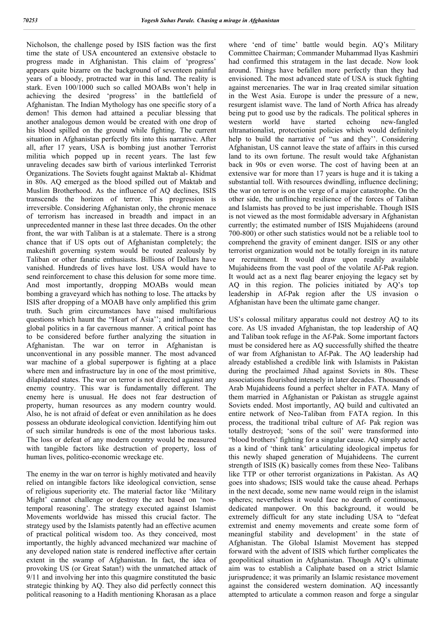Nicholson, the challenge posed by ISIS faction was the first time the state of USA encountered an extensive obstacle to progress made in Afghanistan. This claim of 'progress' appears quite bizarre on the background of seventeen painful years of a bloody, protracted war in this land. The reality is stark. Even 100/1000 such so called MOABs won't help in achieving the desired 'progress' in the battlefield of Afghanistan. The Indian Mythology has one specific story of a demon! This demon had attained a peculiar blessing that another analogous demon would be created with one drop of his blood spilled on the ground while fighting. The current situation in Afghanistan perfectly fits into this narrative. After all, after 17 years, USA is bombing just another Terrorist militia which popped up in recent years. The last few unraveling decades saw birth of various interlinked Terrorist Organizations. The Soviets fought against Maktab al- Khidmat in 80s. AQ emerged as the blood spilled out of Maktab and Muslim Brotherhood. As the influence of AQ declines, ISIS transcends the horizon of terror. This progression is irreversible. Considering Afghanistan only, the chronic menace of terrorism has increased in breadth and impact in an unprecedented manner in these last three decades. On the other front, the war with Taliban is at a stalemate. There is a strong chance that if US opts out of Afghanistan completely; the makeshift governing system would be routed zealously by Taliban or other fanatic enthusiasts. Billions of Dollars have vanished. Hundreds of lives have lost. USA would have to send reinforcement to chase this delusion for some more time. And most importantly, dropping MOABs would mean bombing a graveyard which has nothing to lose. The attacks by ISIS after dropping of a MOAB have only amplified this grim truth. Such grim circumstances have raised multifarious questions which haunt the "Heart of Asia''; and influence the global politics in a far cavernous manner. A critical point has to be considered before further analyzing the situation in Afghanistan. The war on terror in Afghanistan is unconventional in any possible manner. The most advanced war machine of a global superpower is fighting at a place where men and infrastructure lay in one of the most primitive, dilapidated states. The war on terror is not directed against any enemy country. This war is fundamentally different. The enemy here is unusual. He does not fear destruction of property, human resources as any modern country would. Also, he is not afraid of defeat or even annihilation as he does possess an obdurate ideological conviction. Identifying him out of such similar hundreds is one of the most laborious tasks. The loss or defeat of any modern country would be measured with tangible factors like destruction of property, loss of human lives, politico-economic wreckage etc.

The enemy in the war on terror is highly motivated and heavily relied on intangible factors like ideological conviction, sense of religious superiority etc. The material factor like 'Military Might' cannot challenge or destroy the act based on 'nontemporal reasoning'. The strategy executed against Islamist Movements worldwide has missed this crucial factor. The strategy used by the Islamists patently had an effective acumen of practical political wisdom too. As they conceived, most importantly, the highly advanced mechanized war machine of any developed nation state is rendered ineffective after certain extent in the swamp of Afghanistan. In fact, the idea of provoking US (or Great Satan!) with the unmatched attack of 9/11 and involving her into this quagmire constituted the basic strategic thinking by AQ. They also did perfectly connect this political reasoning to a Hadith mentioning Khorasan as a place

where 'end of time' battle would begin. AQ's Military Committee Chairman; Commander Muhammad Ilyas Kashmiri had confirmed this stratagem in the last decade. Now look around. Things have befallen more perfectly than they had envisioned. The most advanced state of USA is stuck fighting against mercenaries. The war in Iraq created similar situation in the West Asia. Europe is under the pressure of a new, resurgent islamist wave. The land of North Africa has already being put to good use by the radicals. The political spheres in western world have started echoing new-fangled ultranationalist, protectionist policies which would definitely help to build the narrative of "us and they''. Considering Afghanistan, US cannot leave the state of affairs in this cursed land to its own fortune. The result would take Afghanistan back in 90s or even worse. The cost of having been at an extensive war for more than 17 years is huge and it is taking a substantial toll. With resources dwindling, influence declining; the war on terror is on the verge of a major catastrophe. On the other side, the unflinching resilience of the forces of Taliban and Islamists has proved to be just imperishable. Though ISIS is not viewed as the most formidable adversary in Afghanistan currently; the estimated number of ISIS Mujahideens (around 700-800) or other such statistics would not be a reliable tool to comprehend the gravity of eminent danger. ISIS or any other terrorist organization would not be totally foreign in its nature or recruitment. It would draw upon readily available Mujahideens from the vast pool of the volatile Af-Pak region. It would act as a next flag bearer enjoying the legacy set by AQ in this region. The policies initiated by AQ's top leadership in Af-Pak region after the US invasion o Afghanistan have been the ultimate game changer.

US's colossal military apparatus could not destroy AQ to its core. As US invaded Afghanistan, the top leadership of AQ and Taliban took refuge in the Af-Pak. Some important factors must be considered here as AQ successfully shifted the theatre of war from Afghanistan to Af-Pak. The AQ leadership had already established a credible link with Islamists in Pakistan during the proclaimed Jihad against Soviets in 80s. These associations flourished intensely in later decades. Thousands of Arab Mujahideens found a perfect shelter in FATA. Many of them married in Afghanistan or Pakistan as struggle against Soviets ended. Most importantly, AQ build and cultivated an entire network of Neo-Taliban from FATA region. In this process, the traditional tribal culture of Af- Pak region was totally destroyed; 'sons of the soil' were transformed into "blood brothers' fighting for a singular cause. AQ simply acted as a kind of 'think tank' articulating ideological impetus for this newly shaped generation of Mujahideens. The current strength of ISIS (K) basically comes from these Neo- Talibans like TTP or other terrorist organizations in Pakistan. As AQ goes into shadows; ISIS would take the cause ahead. Perhaps in the next decade, some new name would reign in the islamist spheres; nevertheless it would face no dearth of continuous, dedicated manpower. On this background, it would be extremely difficult for any state including USA to "defeat extremist and enemy movements and create some form of meaningful stability and development' in the state of Afghanistan. The Global Islamist Movement has stepped forward with the advent of ISIS which further complicates the geopolitical situation in Afghanistan. Though AQ's ultimate aim was to establish a Caliphate based on a strict Islamic jurisprudence; it was primarily an Islamic resistance movement against the considered western domination. AQ incessantly attempted to articulate a common reason and forge a singular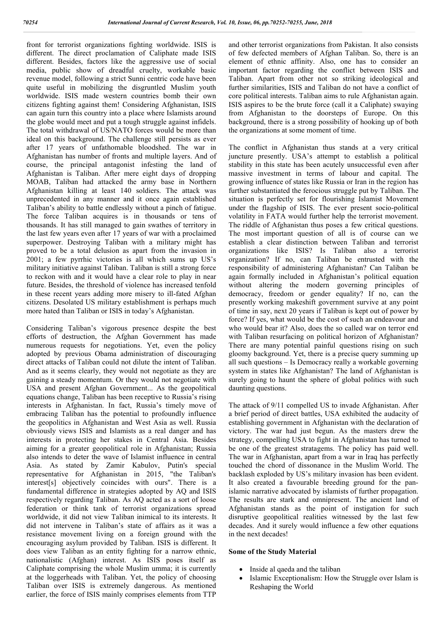front for terrorist organizations fighting worldwide. ISIS is different. The direct proclamation of Caliphate made ISIS different. Besides, factors like the aggressive use of social media, public show of dreadful cruelty, workable basic revenue model, following a strict Sunni centric code have been quite useful in mobilizing the disgruntled Muslim youth worldwide. ISIS made western countries bomb their own citizens fighting against them! Considering Afghanistan, ISIS can again turn this country into a place where Islamists around the globe would meet and put a tough struggle against infidels. The total withdrawal of US/NATO forces would be more than ideal on this background. The challenge still persists as ever after 17 years of unfathomable bloodshed. The war in Afghanistan has number of fronts and multiple layers. And of course, the principal antagonist infesting the land of Afghanistan is Taliban. After mere eight days of dropping MOAB, Taliban had attacked the army base in Northern Afghanistan killing at least 140 soldiers. The attack was unprecedented in any manner and it once again established Taliban's ability to battle endlessly without a pinch of fatigue. The force Taliban acquires is in thousands or tens of thousands. It has still managed to gain swathes of territory in the last few years even after 17 years of war with a proclaimed superpower. Destroying Taliban with a military might has proved to be a total delusion as apart from the invasion in 2001; a few pyrrhic victories is all which sums up US's military initiative against Taliban. Taliban is still a strong force to reckon with and it would have a clear role to play in near future. Besides, the threshold of violence has increased tenfold in these recent years adding more misery to ill-fated Afghan citizens. Desolated US military establishment is perhaps much more hated than Taliban or ISIS in today's Afghanistan.

Considering Taliban's vigorous presence despite the best efforts of destruction, the Afghan Government has made numerous requests for negotiations. Yet, even the policy adopted by previous Obama administration of discouraging direct attacks of Taliban could not dilute the intent of Taliban. And as it seems clearly, they would not negotiate as they are gaining a steady momentum. Or they would not negotiate with USA and present Afghan Government... As the geopolitical equations change, Taliban has been receptive to Russia's rising interests in Afghanistan. In fact, Russia's timely move of embracing Taliban has the potential to profoundly influence the geopolitics in Afghanistan and West Asia as well. Russia obviously views ISIS and Islamists as a real danger and has interests in protecting her stakes in Central Asia. Besides aiming for a greater geopolitical role in Afghanistan; Russia also intends to deter the wave of Islamist influence in central Asia. As stated by Zamir Kabulov, Putin's special representative for Afghanistan in 2015, "the Taliban's interest[s] objectively coincides with ours". There is a fundamental difference in strategies adopted by AQ and ISIS respectively regarding Taliban. As AQ acted as a sort of loose federation or think tank of terrorist organizations spread worldwide, it did not view Taliban inimical to its interests. It did not intervene in Taliban's state of affairs as it was a resistance movement living on a foreign ground with the encouraging asylum provided by Taliban. ISIS is different. It does view Taliban as an entity fighting for a narrow ethnic, nationalistic (Afghan) interest. As ISIS poses itself as Caliphate comprising the whole Muslim umma; it is currently at the loggerheads with Taliban. Yet, the policy of choosing Taliban over ISIS is extremely dangerous. As mentioned earlier, the force of ISIS mainly comprises elements from TTP

and other terrorist organizations from Pakistan. It also consists of few defected members of Afghan Taliban. So, there is an element of ethnic affinity. Also, one has to consider an important factor regarding the conflict between ISIS and Taliban. Apart from other not so striking ideological and further similarities, ISIS and Taliban do not have a conflict of core political interests. Taliban aims to rule Afghanistan again. ISIS aspires to be the brute force (call it a Caliphate) swaying from Afghanistan to the doorsteps of Europe. On this background, there is a strong possibility of hooking up of both the organizations at some moment of time.

The conflict in Afghanistan thus stands at a very critical juncture presently. USA's attempt to establish a political stability in this state has been acutely unsuccessful even after massive investment in terms of labour and capital. The growing influence of states like Russia or Iran in the region has further substantiated the ferocious struggle put by Taliban. The situation is perfectly set for flourishing Islamist Movement under the flagship of ISIS. The ever present socio-political volatility in FATA would further help the terrorist movement. The riddle of Afghanistan thus poses a few critical questions. The most important question of all is of course can we establish a clear distinction between Taliban and terrorist organizations like ISIS? Is Taliban also a terrorist organization? If no, can Taliban be entrusted with the responsibility of administering Afghanistan? Can Taliban be again formally included in Afghanistan's political equation without altering the modern governing principles of democracy, freedom or gender equality? If no, can the presently working makeshift government survive at any point of time in say, next 20 years if Taliban is kept out of power by force? If yes, what would be the cost of such an endeavour and who would bear it? Also, does the so called war on terror end with Taliban resurfacing on political horizon of Afghanistan? There are many potential painful questions rising on such gloomy background. Yet, there is a precise query summing up all such questions – Is Democracy really a workable governing system in states like Afghanistan? The land of Afghanistan is surely going to haunt the sphere of global politics with such daunting questions.

The attack of 9/11 compelled US to invade Afghanistan. After a brief period of direct battles, USA exhibited the audacity of establishing government in Afghanistan with the declaration of victory. The war had just begun. As the masters drew the strategy, compelling USA to fight in Afghanistan has turned to be one of the greatest stratagems. The policy has paid well. The war in Afghanistan, apart from a war in Iraq has perfectly touched the chord of dissonance in the Muslim World. The backlash exploded by US's military invasion has been evident. It also created a favourable breeding ground for the panislamic narrative advocated by islamists of further propagation. The results are stark and omnipresent. The ancient land of Afghanistan stands as the point of instigation for such disruptive geopolitical realities witnessed by the last few decades. And it surely would influence a few other equations in the next decades!

#### **Some of the Study Material**

- Inside al qaeda and the taliban
- Islamic Exceptionalism: How the Struggle over Islam is Reshaping the World